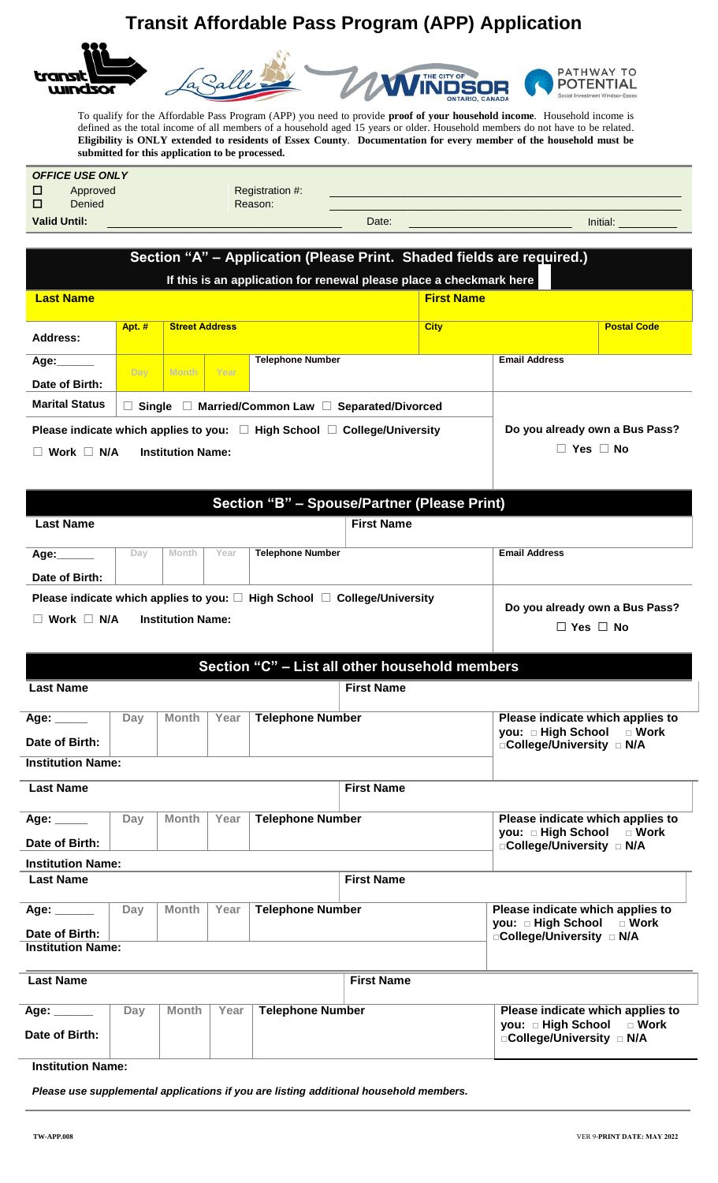## **Transit Affordable Pass Program (APP) Application**



To qualify for the Affordable Pass Program (APP) you need to provide **proof of your household income**. Household income is defined as the total income of all members of a household aged 15 years or older. Household members do not have to be related. **Eligibility is ONLY extended to residents of Essex County**. **Documentation for every member of the household must be submitted for this application to be processed.**

| <b>OFFICE USE ONLY</b> |          |                 |       |  |          |  |
|------------------------|----------|-----------------|-------|--|----------|--|
| П                      | Approved | Registration #: |       |  |          |  |
| $\Box$                 | Denied   | Reason:         |       |  |          |  |
| <b>Valid Until:</b>    |          |                 | Date: |  | Initial: |  |

| Section "A" – Application (Please Print. Shaded fields are required.)                                                |                                                             |                        |                         |             |                      |                    |  |  |  |
|----------------------------------------------------------------------------------------------------------------------|-------------------------------------------------------------|------------------------|-------------------------|-------------|----------------------|--------------------|--|--|--|
| If this is an application for renewal please place a checkmark here                                                  |                                                             |                        |                         |             |                      |                    |  |  |  |
| <b>First Name</b><br><b>Last Name</b>                                                                                |                                                             |                        |                         |             |                      |                    |  |  |  |
| Address:                                                                                                             | Apt. #                                                      | <b>Street Address</b>  |                         | <b>City</b> |                      | <b>Postal Code</b> |  |  |  |
| Age:<br>Date of Birth:                                                                                               | Dav                                                         | Month  <br><b>Year</b> | <b>Telephone Number</b> |             | <b>Email Address</b> |                    |  |  |  |
| <b>Marital Status</b>                                                                                                | Married/Common Law □ Separated/Divorced<br>Single<br>$\Box$ |                        |                         |             |                      |                    |  |  |  |
| Do you already own a Bus Pass?<br>Please indicate which applies to you: $\Box$ High School $\Box$ College/University |                                                             |                        |                         |             |                      |                    |  |  |  |
| Work $\Box$<br>N/A                                                                                                   | <b>Institution Name:</b>                                    | <b>Yes</b><br>No       |                         |             |                      |                    |  |  |  |

| Section "B" - Spouse/Partner (Please Print) |     |                          |      |                                                                                          |                                                        |                      |  |
|---------------------------------------------|-----|--------------------------|------|------------------------------------------------------------------------------------------|--------------------------------------------------------|----------------------|--|
| <b>Last Name</b>                            |     |                          |      |                                                                                          | <b>First Name</b>                                      |                      |  |
| Age:<br>Date of Birth:                      | Day | Month                    | Year | <b>Telephone Number</b>                                                                  |                                                        | <b>Email Address</b> |  |
| Work $\Box$ N/A                             |     | <b>Institution Name:</b> |      | Please indicate which applies to you: $\square$ High School $\square$ College/University | Do you already own a Bus Pass?<br>$\Box$ Yes $\Box$ No |                      |  |

|                                                             |                             |              |                         | Section "C" - List all other household members |                                                                                            |                                                                                            |  |
|-------------------------------------------------------------|-----------------------------|--------------|-------------------------|------------------------------------------------|--------------------------------------------------------------------------------------------|--------------------------------------------------------------------------------------------|--|
| <b>Last Name</b>                                            |                             |              |                         |                                                | <b>First Name</b>                                                                          |                                                                                            |  |
| Day<br>Year<br><b>Month</b><br>Age: _____<br>Date of Birth: |                             |              | <b>Telephone Number</b> |                                                | Please indicate which applies to<br>you: □ High School □ Work<br>□College/University □ N/A |                                                                                            |  |
| <b>Institution Name:</b>                                    |                             |              |                         |                                                |                                                                                            |                                                                                            |  |
| <b>Last Name</b>                                            |                             |              |                         |                                                | <b>First Name</b>                                                                          |                                                                                            |  |
| Age: _____<br>Date of Birth:                                | Day                         | <b>Month</b> | Year                    | <b>Telephone Number</b>                        |                                                                                            | Please indicate which applies to<br>you: □ High School □ Work<br>□College/University □ N/A |  |
| <b>Institution Name:</b>                                    |                             |              |                         |                                                |                                                                                            |                                                                                            |  |
| <b>Last Name</b>                                            |                             |              |                         |                                                | <b>First Name</b>                                                                          |                                                                                            |  |
| Age: ______                                                 | Day<br>Year<br><b>Month</b> |              | <b>Telephone Number</b> |                                                | Please indicate which applies to<br>you: □ High School □ Work                              |                                                                                            |  |
| Date of Birth:<br><b>Institution Name:</b>                  |                             |              |                         |                                                |                                                                                            | □College/University □ N/A                                                                  |  |
| <b>Last Name</b>                                            |                             |              |                         |                                                | <b>First Name</b>                                                                          |                                                                                            |  |
| Age: ______<br>Date of Birth:                               | Day                         | <b>Month</b> | Year                    | <b>Telephone Number</b>                        |                                                                                            | Please indicate which applies to<br>you: □ High School □ Work<br>□College/University □ N/A |  |

**Institution Name:**

*Please use supplemental applications if you are listing additional household members.*